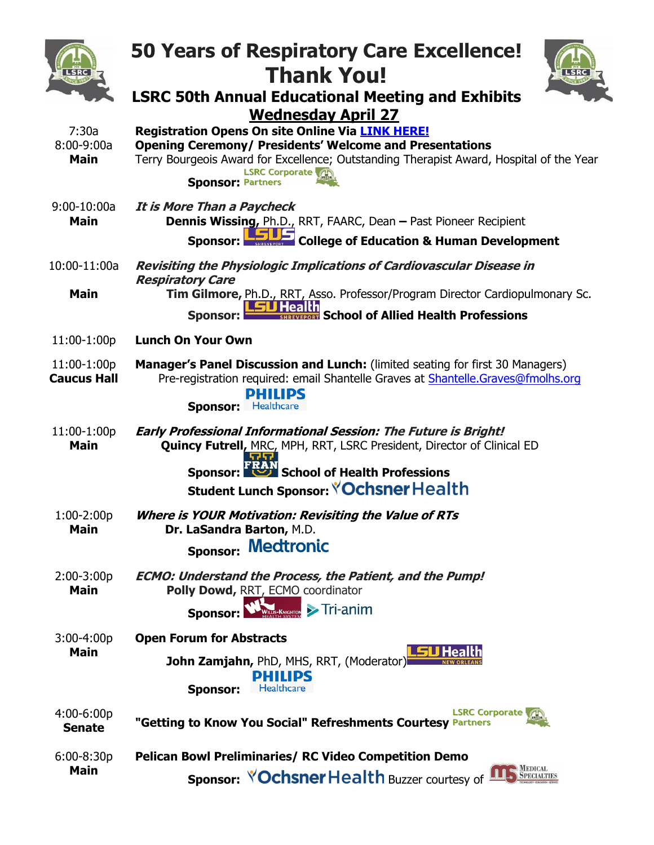|                                        | <b>50 Years of Respiratory Care Excellence!</b><br><b>Thank You!</b><br><b>LSRC 50th Annual Educational Meeting and Exhibits</b>                                                                                                                                                                       |
|----------------------------------------|--------------------------------------------------------------------------------------------------------------------------------------------------------------------------------------------------------------------------------------------------------------------------------------------------------|
| 7:30a<br>$8:00 - 9:00a$<br><b>Main</b> | <b>Wednesday April 27</b><br><b>Registration Opens On site Online Via LINK HERE!</b><br><b>Opening Ceremony/ Presidents' Welcome and Presentations</b><br>Terry Bourgeois Award for Excellence; Outstanding Therapist Award, Hospital of the Year<br><b>LSRC Corporate</b><br><b>Sponsor: Partners</b> |
| $9:00-10:00a$<br><b>Main</b>           | <b>It is More Than a Paycheck</b><br><b>Dennis Wissing, Ph.D., RRT, FAARC, Dean - Past Pioneer Recipient</b><br><b>College of Education &amp; Human Development</b><br><b>Sponsor:</b>                                                                                                                 |
| 10:00-11:00a                           | <b>Revisiting the Physiologic Implications of Cardiovascular Disease in</b><br><b>Respiratory Care</b>                                                                                                                                                                                                 |
| <b>Main</b>                            | Tim Gilmore, Ph.D., RRT, Asso. Professor/Program Director Cardiopulmonary Sc.<br>School of Allied Health Professions<br><b>Sponsor:</b>                                                                                                                                                                |
| 11:00-1:00p                            | <b>Lunch On Your Own</b>                                                                                                                                                                                                                                                                               |
| 11:00-1:00p<br><b>Caucus Hall</b>      | <b>Manager's Panel Discussion and Lunch:</b> (limited seating for first 30 Managers)<br>Pre-registration required: email Shantelle Graves at Shantelle.Graves@fmolhs.org<br><b>PHILIPS</b><br><b>Sponsor:</b> Healthcare                                                                               |
| 11:00-1:00p<br><b>Main</b>             | <b>Early Professional Informational Session: The Future is Bright!</b><br>Quincy Futrell, MRC, MPH, RRT, LSRC President, Director of Clinical ED<br>School of Health Professions<br>Sponsor:                                                                                                           |
|                                        | Student Lunch Sponsor: <b><i>Ochsner Health</i></b>                                                                                                                                                                                                                                                    |
| 1:00-2:00p<br>Main                     | <b>Where is YOUR Motivation: Revisiting the Value of RTs</b><br>Dr. LaSandra Barton, M.D.<br><b>Medtronic</b><br><b>Sponsor:</b>                                                                                                                                                                       |
| $2:00-3:00p$<br><b>Main</b>            | <b>ECMO: Understand the Process, the Patient, and the Pump!</b><br>Polly Dowd, RRT, ECMO coordinator<br>$K_{MGHTON}$ > Tri-anim<br><b>Sponsor:</b>                                                                                                                                                     |
| $3:00-4:00p$<br><b>Main</b>            | <b>Open Forum for Abstracts</b><br>John Zamjahn, PhD, MHS, RRT, (Moderator)<br><b>PHILIPS</b><br>Healthcare<br><b>Sponsor:</b>                                                                                                                                                                         |
| $4:00 - 6:00p$<br><b>Senate</b>        | <b>LSRC Corporate</b><br>"Getting to Know You Social" Refreshments Courtesy Partners                                                                                                                                                                                                                   |
| $6:00 - 8:30p$<br><b>Main</b>          | <b>Pelican Bowl Preliminaries/ RC Video Competition Demo</b><br>MEDICAL<br>SPECIALTIES<br><b>Sponsor: YOChsner Health Buzzer courtesy of</b>                                                                                                                                                           |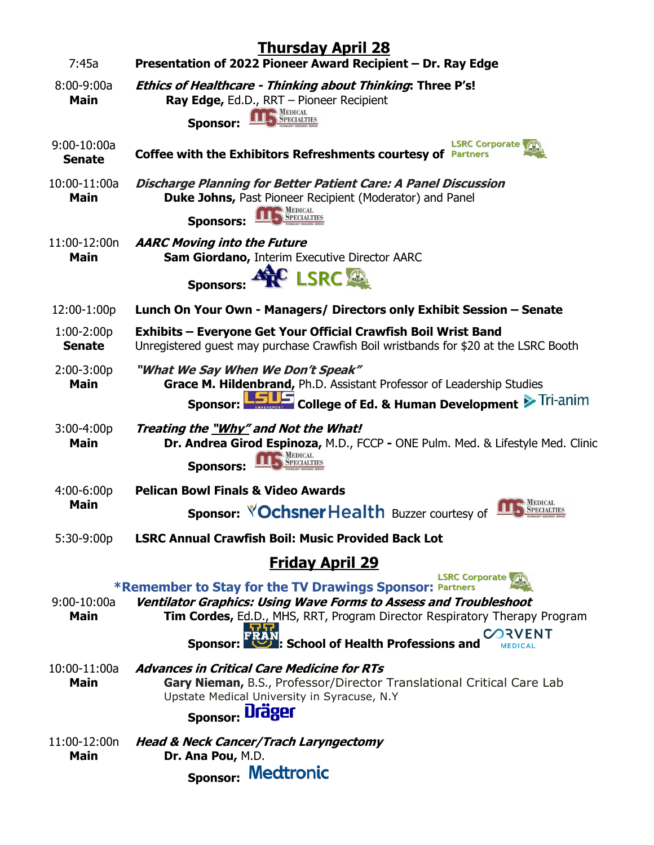|                                | <b>Thursday April 28</b>                                                                                                                                                                                                                                   |
|--------------------------------|------------------------------------------------------------------------------------------------------------------------------------------------------------------------------------------------------------------------------------------------------------|
| 7:45a                          | Presentation of 2022 Pioneer Award Recipient - Dr. Ray Edge                                                                                                                                                                                                |
| $8:00-9:00a$<br><b>Main</b>    | <b>Ethics of Healthcare - Thinking about Thinking: Three P's!</b><br>Ray Edge, Ed.D., RRT - Pioneer Recipient                                                                                                                                              |
|                                | <b>Sponsor:</b>                                                                                                                                                                                                                                            |
| $9:00-10:00a$<br><b>Senate</b> | <b>LSRC Corporate</b><br><b>Coffee with the Exhibitors Refreshments courtesy of</b><br><b>Partners</b>                                                                                                                                                     |
| 10:00-11:00a<br><b>Main</b>    | <b>Discharge Planning for Better Patient Care: A Panel Discussion</b><br><b>Duke Johns, Past Pioneer Recipient (Moderator) and Panel</b>                                                                                                                   |
|                                | MEDICAL<br>SPECIALTIES<br><b>Sponsors</b>                                                                                                                                                                                                                  |
| 11:00-12:00n<br><b>Main</b>    | <b>AARC Moving into the Future</b><br>Sam Giordano, Interim Executive Director AARC                                                                                                                                                                        |
|                                | <b>C LSRC</b><br><b>Sponsors:</b>                                                                                                                                                                                                                          |
| 12:00-1:00p                    | Lunch On Your Own - Managers/ Directors only Exhibit Session - Senate                                                                                                                                                                                      |
| $1:00-2:00p$<br><b>Senate</b>  | <b>Exhibits - Everyone Get Your Official Crawfish Boil Wrist Band</b><br>Unregistered guest may purchase Crawfish Boil wristbands for \$20 at the LSRC Booth                                                                                               |
| $2:00-3:00p$<br><b>Main</b>    | "What We Say When We Don't Speak"<br>Grace M. Hildenbrand, Ph.D. Assistant Professor of Leadership Studies<br>College of Ed. & Human Development > Tri-anim<br>Sponsor:                                                                                    |
| $3:00-4:00p$<br><b>Main</b>    | Treating the "Why" and Not the What!<br>Dr. Andrea Girod Espinoza, M.D., FCCP - ONE Pulm. Med. & Lifestyle Med. Clinic<br><b>Sponsors:</b>                                                                                                                 |
| $4:00 - 6:00p$<br><b>Main</b>  | <b>Pelican Bowl Finals &amp; Video Awards</b>                                                                                                                                                                                                              |
|                                | <b>MEDICAL<br/>SPECIALTIES</b><br><b>Sponsor: YOchsner Health Buzzer courtesy of</b>                                                                                                                                                                       |
| 5:30-9:00p                     | <b>LSRC Annual Crawfish Boil: Music Provided Back Lot</b>                                                                                                                                                                                                  |
|                                | <b>Friday April 29</b>                                                                                                                                                                                                                                     |
| $9:00-10:00a$<br><b>Main</b>   | <b>LSRC Corporate</b><br><b>*Remember to Stay for the TV Drawings Sponsor: Partners</b><br>Ventilator Graphics: Using Wave Forms to Assess and Troubleshoot<br>Tim Cordes, Ed.D., MHS, RRT, Program Director Respiratory Therapy Program<br><b>CORVENT</b> |
|                                | School of Health Professions and<br>Sponsor:                                                                                                                                                                                                               |
| 10:00-11:00a<br><b>Main</b>    | <b>Advances in Critical Care Medicine for RTs</b><br>Gary Nieman, B.S., Professor/Director Translational Critical Care Lab<br>Upstate Medical University in Syracuse, N.Y                                                                                  |
|                                | <b>Sponsor: Dräger</b>                                                                                                                                                                                                                                     |
| 11:00-12:00n<br><b>Main</b>    | <b>Head &amp; Neck Cancer/Trach Laryngectomy</b><br>Dr. Ana Pou, M.D.                                                                                                                                                                                      |
|                                | <b>Medtronic</b><br><b>Sponsor:</b>                                                                                                                                                                                                                        |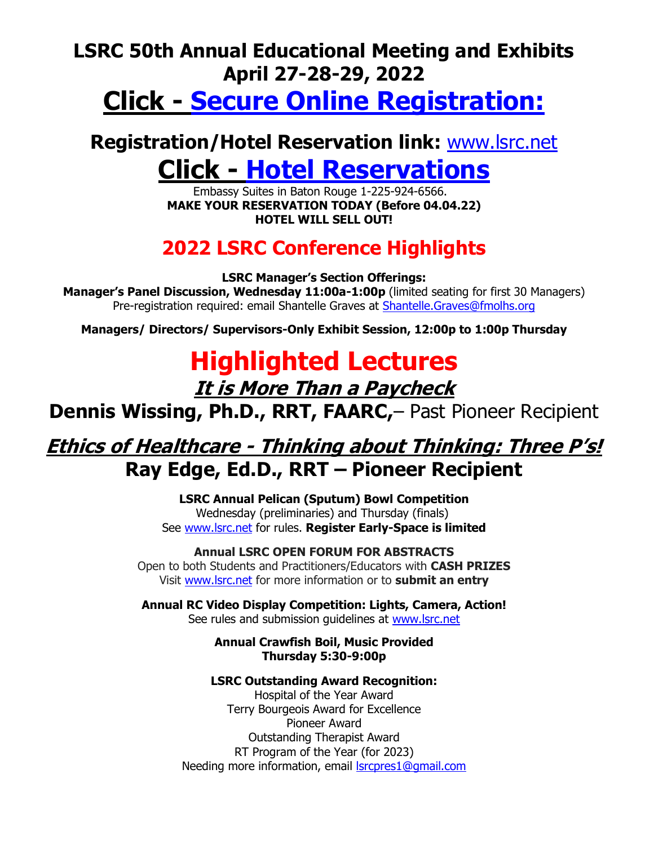### **LSRC 50th Annual Educational Meeting and Exhibits April 27-28-29, 2022**

## **Click - [Secure Online Registration:](https://lsrc.regfox.com/50th-annual-lsrc-edexhibits-attendees)**

## **Registration/Hotel Reservation link:** [www.lsrc.net](http://www.lsrc.net/) **Click - [Hotel Reservations](https://www.hilton.com/en/attend-my-event/btrcses-rc2-d26b757e-b21e-4e81-8f05-5c883b7747ca/)**

Embassy Suites in Baton Rouge 1-225-924-6566. **MAKE YOUR RESERVATION TODAY (Before 04.04.22) HOTEL WILL SELL OUT!**

## **2022 LSRC Conference Highlights**

**LSRC Manager's Section Offerings:**

**Manager's Panel Discussion, Wednesday 11:00a-1:00p** (limited seating for first 30 Managers) Pre-registration required: email Shantelle Graves at [Shantelle.Graves@fmolhs.org](mailto:Shantelle.Graves@fmolhs.org)

**Managers/ Directors/ Supervisors-Only Exhibit Session, 12:00p to 1:00p Thursday**

# **Highlighted Lectures**

**It is More Than a Paycheck**

**Dennis Wissing, Ph.D., RRT, FAARC,**– Past Pioneer Recipient

## **Ethics of Healthcare - Thinking about Thinking: Three P's! Ray Edge, Ed.D., RRT – Pioneer Recipient**

**LSRC Annual Pelican (Sputum) Bowl Competition** Wednesday (preliminaries) and Thursday (finals) See [www.lsrc.net](http://www.lsrc.net/) for rules. **Register Early-Space is limited**

**Annual LSRC OPEN FORUM FOR ABSTRACTS** Open to both Students and Practitioners/Educators with **CASH PRIZES** Visit [www.lsrc.net](http://www.lsrc.net/) for more information or to **submit an entry**

**Annual RC Video Display Competition: Lights, Camera, Action!**  See rules and submission guidelines at [www.lsrc.net](http://www.lsrc.net/)

#### **Annual Crawfish Boil, Music Provided Thursday 5:30-9:00p**

#### **LSRC Outstanding Award Recognition:**

Hospital of the Year Award Terry Bourgeois Award for Excellence Pioneer Award Outstanding Therapist Award RT Program of the Year (for 2023) Needing more information, email [lsrcpres1@gmail.com](mailto:lsrcpres1@gmail.com)